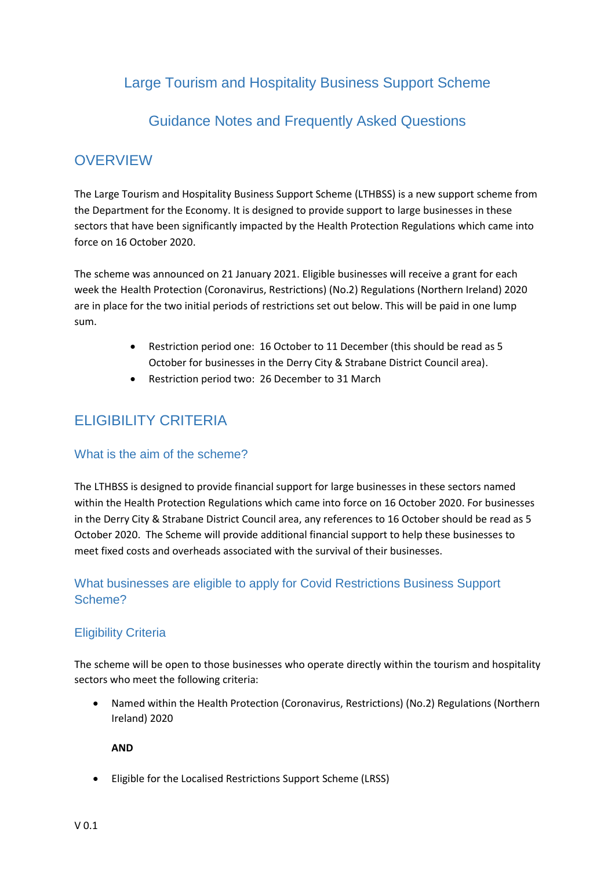# Large Tourism and Hospitality Business Support Scheme

# Guidance Notes and Frequently Asked Questions

# **OVERVIEW**

The Large Tourism and Hospitality Business Support Scheme (LTHBSS) is a new support scheme from the Department for the Economy. It is designed to provide support to large businesses in these sectors that have been significantly impacted by the Health Protection Regulations which came into force on 16 October 2020.

The scheme was announced on 21 January 2021. Eligible businesses will receive a grant for each week the Health Protection (Coronavirus, Restrictions) (No.2) Regulations (Northern Ireland) 2020 are in place for the two initial periods of restrictions set out below. This will be paid in one lump sum.

- Restriction period one: 16 October to 11 December (this should be read as 5 October for businesses in the Derry City & Strabane District Council area).
- Restriction period two: 26 December to 31 March

# ELIGIBILITY CRITERIA

### What is the aim of the scheme?

The LTHBSS is designed to provide financial support for large businesses in these sectors named within the Health Protection Regulations which came into force on 16 October 2020. For businesses in the Derry City & Strabane District Council area, any references to 16 October should be read as 5 October 2020. The Scheme will provide additional financial support to help these businesses to meet fixed costs and overheads associated with the survival of their businesses.

## What businesses are eligible to apply for Covid Restrictions Business Support Scheme?

### Eligibility Criteria

The scheme will be open to those businesses who operate directly within the tourism and hospitality sectors who meet the following criteria:

 Named within the Health Protection (Coronavirus, Restrictions) (No.2) Regulations (Northern Ireland) 2020

**AND**

Eligible for the Localised Restrictions Support Scheme (LRSS)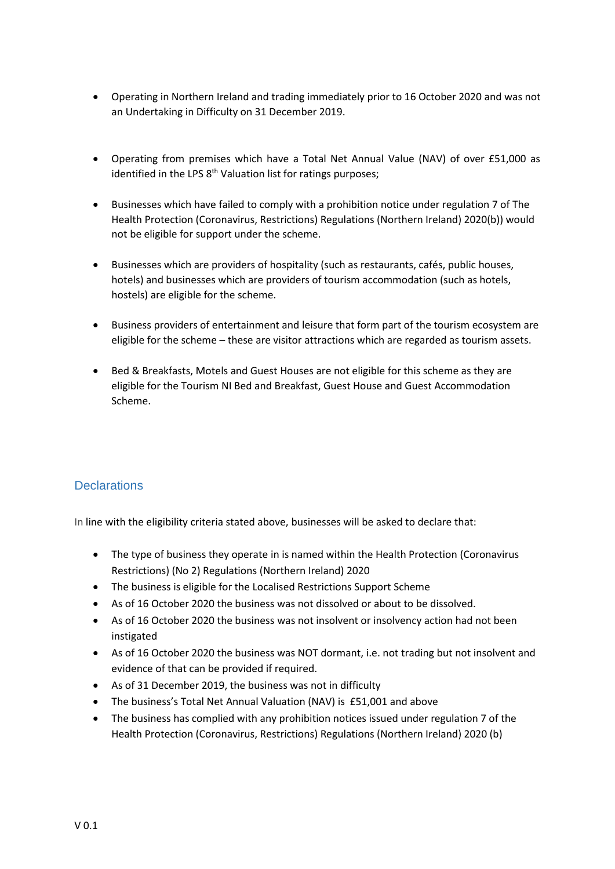- Operating in Northern Ireland and trading immediately prior to 16 October 2020 and was not an Undertaking in Difficulty on 31 December 2019.
- Operating from premises which have a Total Net Annual Value (NAV) of over £51,000 as identified in the LPS 8<sup>th</sup> Valuation list for ratings purposes;
- Businesses which have failed to comply with a prohibition notice under regulation 7 of The Health Protection (Coronavirus, Restrictions) Regulations (Northern Ireland) 2020(b)) would not be eligible for support under the scheme.
- Businesses which are providers of hospitality (such as restaurants, cafés, public houses, hotels) and businesses which are providers of tourism accommodation (such as hotels, hostels) are eligible for the scheme.
- Business providers of entertainment and leisure that form part of the tourism ecosystem are eligible for the scheme – these are visitor attractions which are regarded as tourism assets.
- Bed & Breakfasts, Motels and Guest Houses are not eligible for this scheme as they are eligible for the Tourism NI Bed and Breakfast, Guest House and Guest Accommodation Scheme.

## **Declarations**

In line with the eligibility criteria stated above, businesses will be asked to declare that:

- The type of business they operate in is named within the Health Protection (Coronavirus Restrictions) (No 2) Regulations (Northern Ireland) 2020
- The business is eligible for the Localised Restrictions Support Scheme
- As of 16 October 2020 the business was not dissolved or about to be dissolved.
- As of 16 October 2020 the business was not insolvent or insolvency action had not been instigated
- As of 16 October 2020 the business was NOT dormant, i.e. not trading but not insolvent and evidence of that can be provided if required.
- As of 31 December 2019, the business was not in difficulty
- The business's Total Net Annual Valuation (NAV) is £51,001 and above
- The business has complied with any prohibition notices issued under regulation 7 of the Health Protection (Coronavirus, Restrictions) Regulations (Northern Ireland) 2020 (b)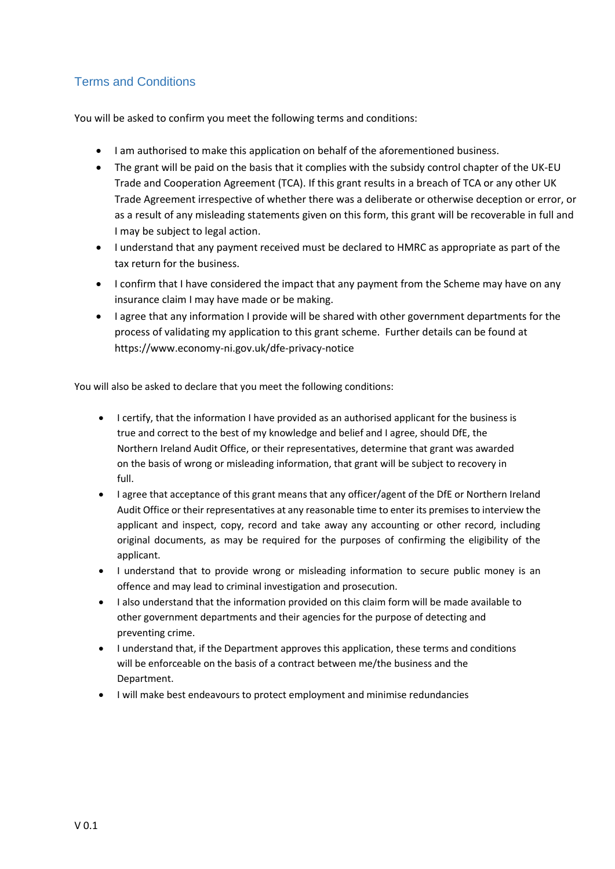## Terms and Conditions

You will be asked to confirm you meet the following terms and conditions:

- I am authorised to make this application on behalf of the aforementioned business.
- The grant will be paid on the basis that it complies with the subsidy control chapter of the UK-EU Trade and Cooperation Agreement (TCA). If this grant results in a breach of TCA or any other UK Trade Agreement irrespective of whether there was a deliberate or otherwise deception or error, or as a result of any misleading statements given on this form, this grant will be recoverable in full and I may be subject to legal action.
- I understand that any payment received must be declared to HMRC as appropriate as part of the tax return for the business.
- I confirm that I have considered the impact that any payment from the Scheme may have on any insurance claim I may have made or be making.
- I agree that any information I provide will be shared with other government departments for the process of validating my application to this grant scheme. Further details can be found at <https://www.economy-ni.gov.uk/dfe-privacy-notice>

You will also be asked to declare that you meet the following conditions:

- I certify, that the information I have provided as an authorised applicant for the business is true and correct to the best of my knowledge and belief and I agree, should DfE, the Northern Ireland Audit Office, or their representatives, determine that grant was awarded on the basis of wrong or misleading information, that grant will be subject to recovery in full.
- I agree that acceptance of this grant means that any officer/agent of the DfE or Northern Ireland Audit Office or their representatives at any reasonable time to enter its premises to interview the applicant and inspect, copy, record and take away any accounting or other record, including original documents, as may be required for the purposes of confirming the eligibility of the applicant.
- I understand that to provide wrong or misleading information to secure public money is an offence and may lead to criminal investigation and prosecution.
- I also understand that the information provided on this claim form will be made available to other government departments and their agencies for the purpose of detecting and preventing crime.
- I understand that, if the Department approves this application, these terms and conditions will be enforceable on the basis of a contract between me/the business and the Department.
- I will make best endeavours to protect employment and minimise redundancies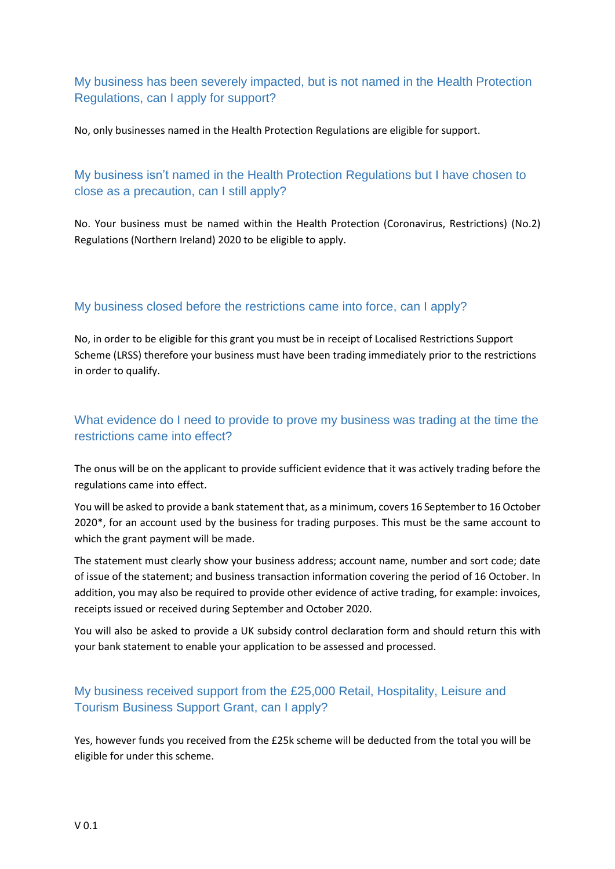## My business has been severely impacted, but is not named in the Health Protection Regulations, can I apply for support?

No, only businesses named in the Health Protection Regulations are eligible for support.

## My business isn't named in the Health Protection Regulations but I have chosen to close as a precaution, can I still apply?

No. Your business must be named within the Health Protection (Coronavirus, Restrictions) (No.2) Regulations (Northern Ireland) 2020 to be eligible to apply.

### My business closed before the restrictions came into force, can I apply?

No, in order to be eligible for this grant you must be in receipt of Localised Restrictions Support Scheme (LRSS) therefore your business must have been trading immediately prior to the restrictions in order to qualify.

## What evidence do I need to provide to prove my business was trading at the time the restrictions came into effect?

The onus will be on the applicant to provide sufficient evidence that it was actively trading before the regulations came into effect.

You will be asked to provide a bank statement that, as a minimum, covers 16 September to 16 October 2020\*, for an account used by the business for trading purposes. This must be the same account to which the grant payment will be made.

The statement must clearly show your business address; account name, number and sort code; date of issue of the statement; and business transaction information covering the period of 16 October. In addition, you may also be required to provide other evidence of active trading, for example: invoices, receipts issued or received during September and October 2020.

You will also be asked to provide a UK subsidy control declaration form and should return this with your bank statement to enable your application to be assessed and processed.

## My business received support from the £25,000 Retail, Hospitality, Leisure and Tourism Business Support Grant, can I apply?

Yes, however funds you received from the £25k scheme will be deducted from the total you will be eligible for under this scheme.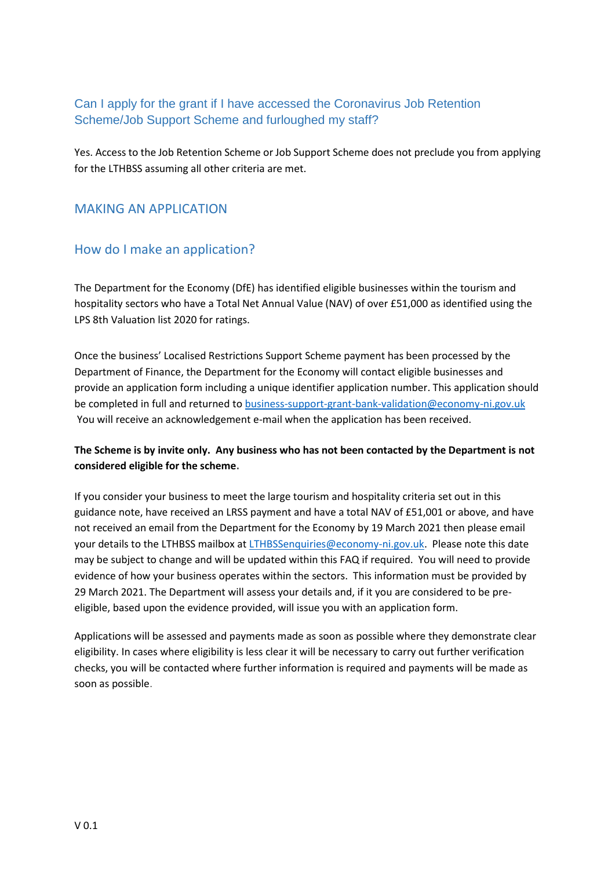## Can I apply for the grant if I have accessed the Coronavirus Job Retention Scheme/Job Support Scheme and furloughed my staff?

Yes. Access to the Job Retention Scheme or Job Support Scheme does not preclude you from applying for the LTHBSS assuming all other criteria are met.

### MAKING AN APPLICATION

## How do I make an application?

The Department for the Economy (DfE) has identified eligible businesses within the tourism and hospitality sectors who have a Total Net Annual Value (NAV) of over £51,000 as identified using the LPS 8th Valuation list 2020 for ratings.

Once the business' Localised Restrictions Support Scheme payment has been processed by the Department of Finance, the Department for the Economy will contact eligible businesses and provide an application form including a unique identifier application number. This application should be completed in full and returned to **business-support-grant-bank-validation@economy-ni.gov.uk** You will receive an acknowledgement e-mail when the application has been received.

### **The Scheme is by invite only. Any business who has not been contacted by the Department is not considered eligible for the scheme.**

If you consider your business to meet the large tourism and hospitality criteria set out in this guidance note, have received an LRSS payment and have a total NAV of £51,001 or above, and have not received an email from the Department for the Economy by 19 March 2021 then please email your details to the LTHBSS mailbox at [LTHBSSenquiries@economy-ni.gov.uk.](mailto:LTHBSSenquiries@economy-ni.gov.uk) Please note this date may be subject to change and will be updated within this FAQ if required. You will need to provide evidence of how your business operates within the sectors. This information must be provided by 29 March 2021. The Department will assess your details and, if it you are considered to be preeligible, based upon the evidence provided, will issue you with an application form.

Applications will be assessed and payments made as soon as possible where they demonstrate clear eligibility. In cases where eligibility is less clear it will be necessary to carry out further verification checks, you will be contacted where further information is required and payments will be made as soon as possible.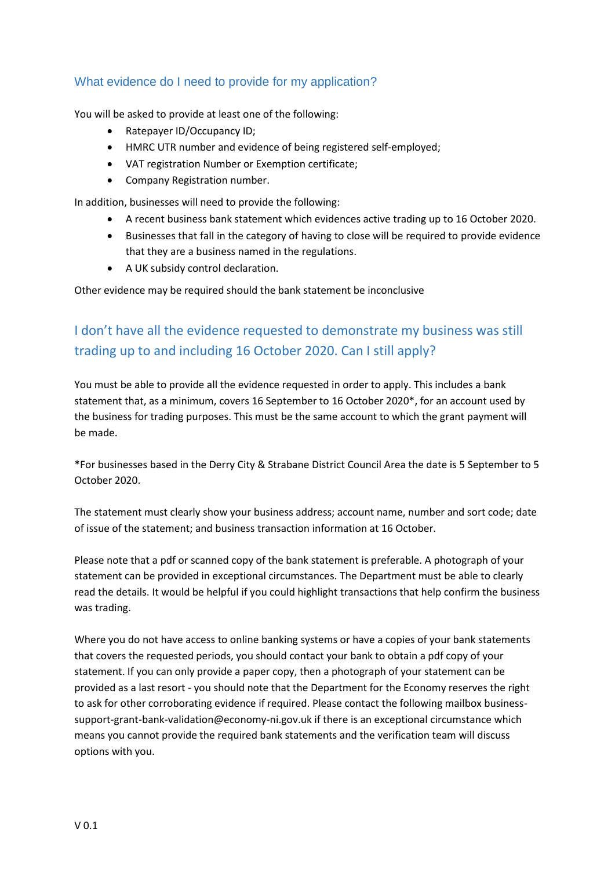### What evidence do I need to provide for my application?

You will be asked to provide at least one of the following:

- Ratepayer ID/Occupancy ID;
- HMRC UTR number and evidence of being registered self-employed;
- VAT registration Number or Exemption certificate;
- Company Registration number.

In addition, businesses will need to provide the following:

- A recent business bank statement which evidences active trading up to 16 October 2020.
- Businesses that fall in the category of having to close will be required to provide evidence that they are a business named in the regulations.
- A UK subsidy control declaration.

Other evidence may be required should the bank statement be inconclusive

# I don't have all the evidence requested to demonstrate my business was still trading up to and including 16 October 2020. Can I still apply?

You must be able to provide all the evidence requested in order to apply. This includes a bank statement that, as a minimum, covers 16 September to 16 October 2020\*, for an account used by the business for trading purposes. This must be the same account to which the grant payment will be made.

\*For businesses based in the Derry City & Strabane District Council Area the date is 5 September to 5 October 2020.

The statement must clearly show your business address; account name, number and sort code; date of issue of the statement; and business transaction information at 16 October.

Please note that a pdf or scanned copy of the bank statement is preferable. A photograph of your statement can be provided in exceptional circumstances. The Department must be able to clearly read the details. It would be helpful if you could highlight transactions that help confirm the business was trading.

Where you do not have access to online banking systems or have a copies of your bank statements that covers the requested periods, you should contact your bank to obtain a pdf copy of your statement. If you can only provide a paper copy, then a photograph of your statement can be provided as a last resort - you should note that the Department for the Economy reserves the right to ask for other corroborating evidence if required. Please contact the following mailbox businesssupport-grant-bank-validation@economy-ni.gov.uk if there is an exceptional circumstance which means you cannot provide the required bank statements and the verification team will discuss options with you.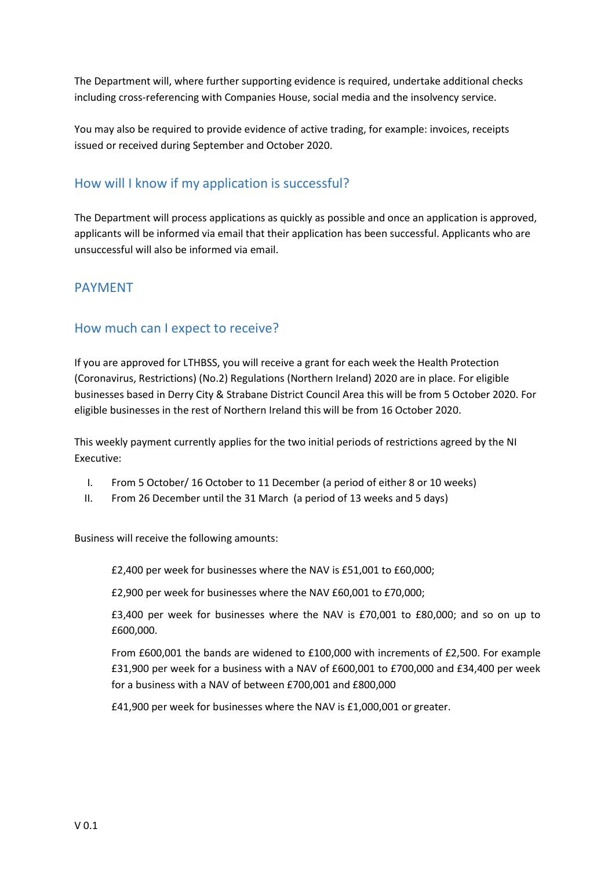The Department will, where further supporting evidence is required, undertake additional checks including cross-referencing with Companies House, social media and the insolvency service.

You may also be required to provide evidence of active trading, for example: invoices, receipts issued or received during September and October 2020.

## How will I know if my application is successful?

The Department will process applications as quickly as possible and once an application is approved, applicants will be informed via email that their application has been successful. Applicants who are unsuccessful will also be informed via email.

### PAYMENT

### How much can I expect to receive?

If you are approved for LTHBSS, you will receive a grant for each week the Health Protection (Coronavirus, Restrictions) (No.2) Regulations (Northern Ireland) 2020 are in place. For eligible businesses based in Derry City & Strabane District Council Area this will be from 5 October 2020. For eligible businesses in the rest of Northern Ireland this will be from 16 October 2020.

This weekly payment currently applies for the two initial periods of restrictions agreed by the NI Executive:

- I. From 5 October/ 16 October to 11 December (a period of either 8 or 10 weeks)
- II. From 26 December until the 31 March (a period of 13 weeks and 5 days)

Business will receive the following amounts:

£2,400 per week for businesses where the NAV is £51,001 to £60,000;

£2,900 per week for businesses where the NAV £60,001 to £70,000;

£3,400 per week for businesses where the NAV is £70,001 to £80,000; and so on up to £600,000.

From £600,001 the bands are widened to £100,000 with increments of £2,500. For example £31,900 per week for a business with a NAV of £600,001 to £700,000 and £34,400 per week for a business with a NAV of between £700,001 and £800,000

£41,900 per week for businesses where the NAV is £1,000,001 or greater.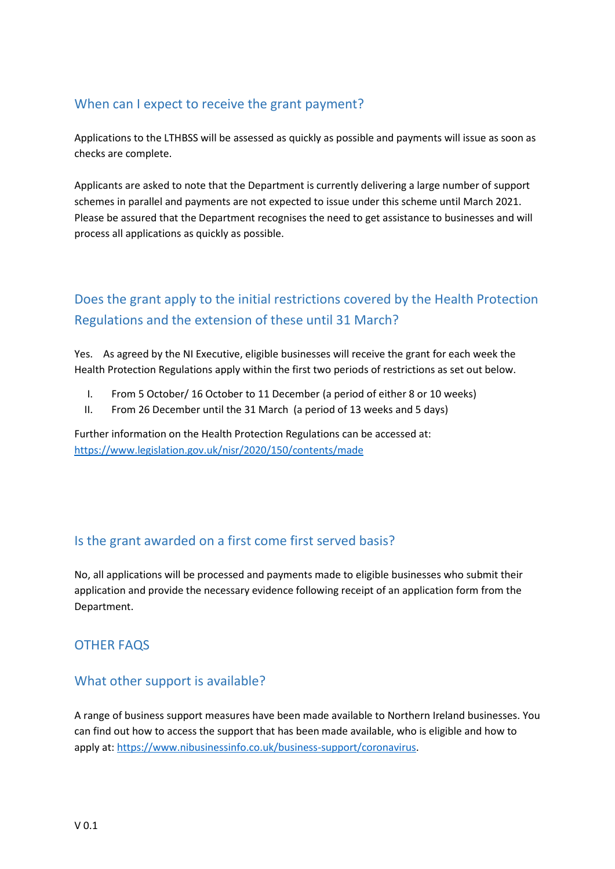# When can I expect to receive the grant payment?

Applications to the LTHBSS will be assessed as quickly as possible and payments will issue as soon as checks are complete.

Applicants are asked to note that the Department is currently delivering a large number of support schemes in parallel and payments are not expected to issue under this scheme until March 2021. Please be assured that the Department recognises the need to get assistance to businesses and will process all applications as quickly as possible.

# Does the grant apply to the initial restrictions covered by the Health Protection Regulations and the extension of these until 31 March?

Yes. As agreed by the NI Executive, eligible businesses will receive the grant for each week the Health Protection Regulations apply within the first two periods of restrictions as set out below.

- I. From 5 October/ 16 October to 11 December (a period of either 8 or 10 weeks)
- II. From 26 December until the 31 March (a period of 13 weeks and 5 days)

Further information on the Health Protection Regulations can be accessed at: <https://www.legislation.gov.uk/nisr/2020/150/contents/made>

# Is the grant awarded on a first come first served basis?

No, all applications will be processed and payments made to eligible businesses who submit their application and provide the necessary evidence following receipt of an application form from the Department.

## OTHER FAQS

## What other support is available?

A range of business support measures have been made available to Northern Ireland businesses. You can find out how to access the support that has been made available, who is eligible and how to apply at: [https://www.nibusinessinfo.co.uk/business-support/coronavirus.](https://www.nibusinessinfo.co.uk/business-support/coronavirus)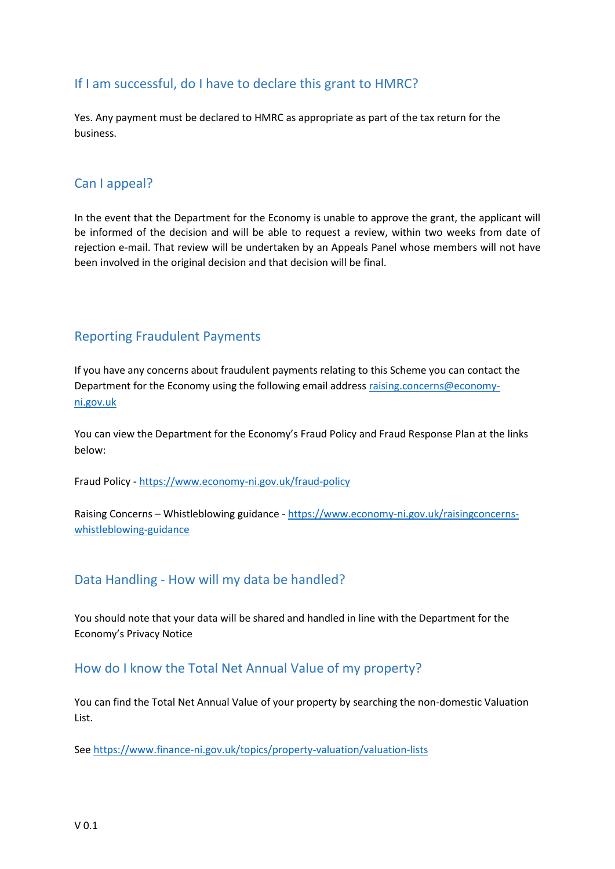## If I am successful, do I have to declare this grant to HMRC?

Yes. Any payment must be declared to HMRC as appropriate as part of the tax return for the business.

### Can I appeal?

In the event that the Department for the Economy is unable to approve the grant, the applicant will be informed of the decision and will be able to request a review, within two weeks from date of rejection e-mail. That review will be undertaken by an Appeals Panel whose members will not have been involved in the original decision and that decision will be final.

### Reporting Fraudulent Payments

If you have any concerns about fraudulent payments relating to this Scheme you can contact the Department for the Economy using the following email address [raising.concerns@economy](mailto:raising.concerns@economy-ni.gov.uk)[ni.gov.uk](mailto:raising.concerns@economy-ni.gov.uk)

You can view the Department for the Economy's Fraud Policy and Fraud Response Plan at the links below:

Fraud Policy - <https://www.economy-ni.gov.uk/fraud-policy>

Raising Concerns – Whistleblowing guidance - [https://www.economy-ni.gov.uk/raisingconcerns](https://www.economy-ni.gov.uk/raisingconcerns-whistleblowing-guidance)[whistleblowing-guidance](https://www.economy-ni.gov.uk/raisingconcerns-whistleblowing-guidance)

### Data Handling - How will my data be handled?

You should note that your data will be shared and handled in line with the Department for the Economy's Privacy Notice

### How do I know the Total Net Annual Value of my property?

You can find the Total Net Annual Value of your property by searching the non-domestic Valuation List.

Se[e https://www.finance-ni.gov.uk/topics/property-valuation/valuation-lists](https://www.finance-ni.gov.uk/topics/property-valuation/valuation-lists)